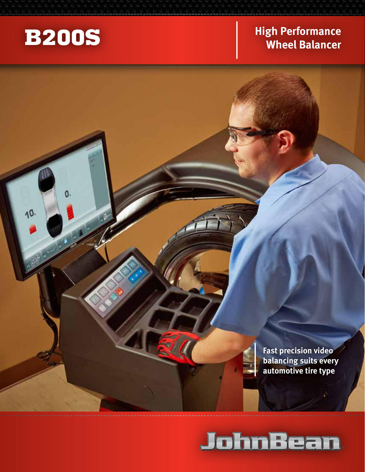

10.

## **B200S** High Performance **Wheel Balancer**

**Fast precision video balancing suits every automotive tire type**